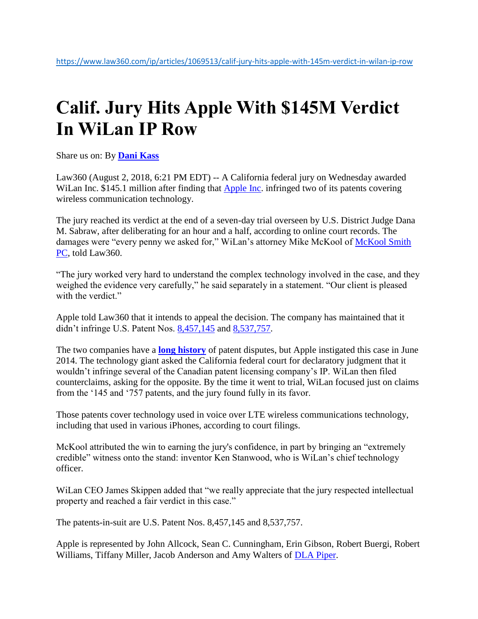## **Calif. Jury Hits Apple With \$145M Verdict In WiLan IP Row**

Share us on: By **[Dani Kass](https://www.law360.com/ip/articles/1069513/calif-jury-hits-apple-with-145m-verdict-in-wilan-ip-row)**

Law360 (August 2, 2018, 6:21 PM EDT) -- A California federal jury on Wednesday awarded WiLan Inc. \$145.1 million after finding that [Apple Inc.](https://www.law360.com/companies/apple-inc) infringed two of its patents covering wireless communication technology.

The jury reached its verdict at the end of a seven-day trial overseen by U.S. District Judge Dana M. Sabraw, after deliberating for an hour and a half, according to online court records. The damages were "every penny we asked for," WiLan's attorney Mike McKool of McKool Smith [PC,](https://www.law360.com/firms/mckool-smith) told Law360.

"The jury worked very hard to understand the complex technology involved in the case, and they weighed the evidence very carefully," he said separately in a statement. "Our client is pleased with the verdict."

Apple told Law360 that it intends to appeal the decision. The company has maintained that it didn't infringe U.S. Patent Nos. [8,457,145](https://www.law360.com/patents/8457145) and [8,537,757.](https://www.law360.com/patents/8537757)

The two companies have a **[long history](https://www.law360.com/search/articles?q=wilan&submit=Submit&facet=_company%3A%22Apple+Inc.%22&facet_added=_section%3A%2522Intellectual+Property%2522&facet_removed=&range_filter=&date_start=&date_end=&per_page=20&view_style=&filter=&c_sort=&sort=)** of patent disputes, but Apple instigated this case in June 2014. The technology giant asked the California federal court for declaratory judgment that it wouldn't infringe several of the Canadian patent licensing company's IP. WiLan then filed counterclaims, asking for the opposite. By the time it went to trial, WiLan focused just on claims from the '145 and '757 patents, and the jury found fully in its favor.

Those patents cover technology used in voice over LTE wireless communications technology, including that used in various iPhones, according to court filings.

McKool attributed the win to earning the jury's confidence, in part by bringing an "extremely credible" witness onto the stand: inventor Ken Stanwood, who is WiLan's chief technology officer.

WiLan CEO James Skippen added that "we really appreciate that the jury respected intellectual property and reached a fair verdict in this case."

The patents-in-suit are U.S. Patent Nos. 8,457,145 and 8,537,757.

Apple is represented by John Allcock, Sean C. Cunningham, Erin Gibson, Robert Buergi, Robert Williams, Tiffany Miller, Jacob Anderson and Amy Walters of [DLA Piper.](https://www.law360.com/firms/dla-piper)